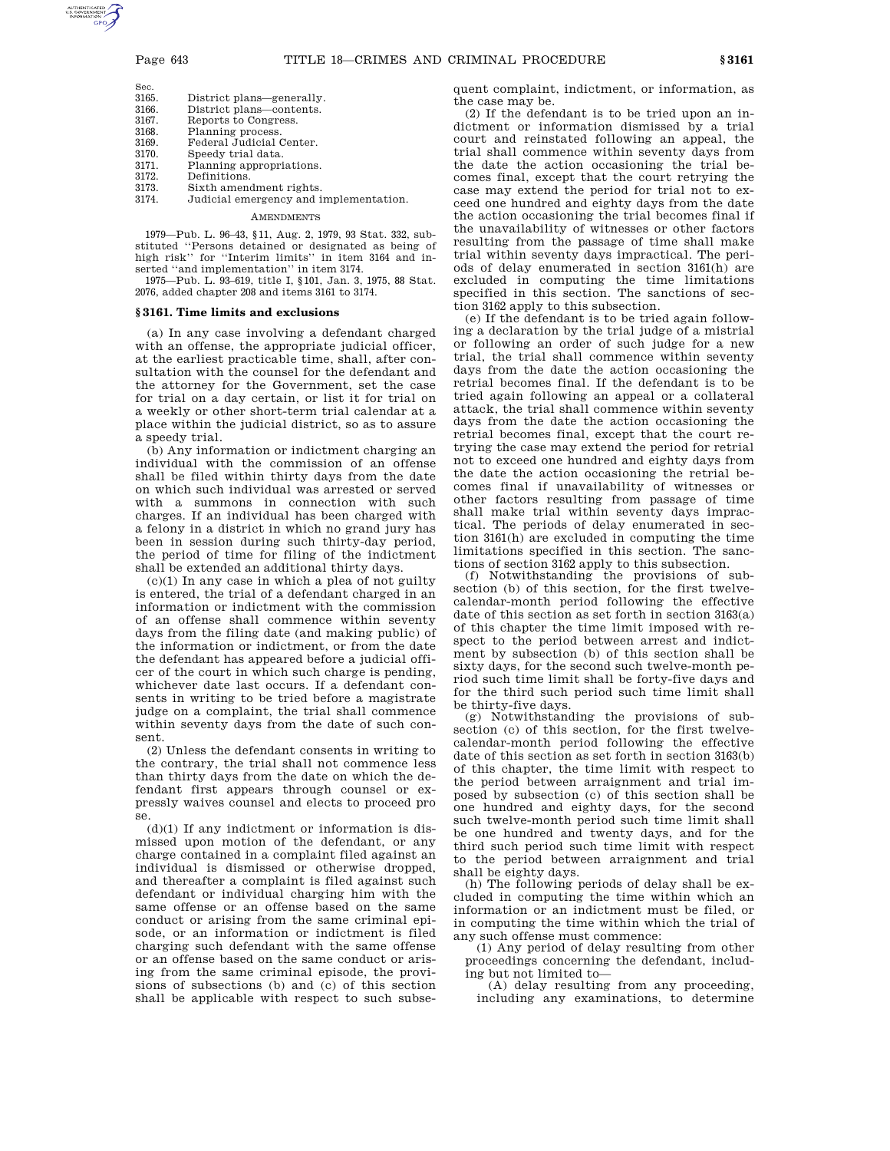Sec.

- 3165. District plans—generally.
- District plans—contents.
- 3167. Reports to Congress.
- 3168. Planning process.<br>3169 Federal Judicial
- 3169. Federal Judicial Center.<br>3170. Speedy trial data. 3170. Speedy trial data.<br>3171. Planning appropri
- 3171. Planning appropriations.<br>3172. Definitions.
- 3172. Definitions.<br>3173. Sixth ameno
- 3173. Sixth amendment rights. Judicial emergency and implementation.

# AMENDMENTS

1979—Pub. L. 96–43, §11, Aug. 2, 1979, 93 Stat. 332, substituted ''Persons detained or designated as being of high risk'' for ''Interim limits'' in item 3164 and inserted ''and implementation'' in item 3174.

1975—Pub. L. 93–619, title I, §101, Jan. 3, 1975, 88 Stat. 2076, added chapter 208 and items 3161 to 3174.

## **§ 3161. Time limits and exclusions**

(a) In any case involving a defendant charged with an offense, the appropriate judicial officer, at the earliest practicable time, shall, after consultation with the counsel for the defendant and the attorney for the Government, set the case for trial on a day certain, or list it for trial on a weekly or other short-term trial calendar at a place within the judicial district, so as to assure a speedy trial.

(b) Any information or indictment charging an individual with the commission of an offense shall be filed within thirty days from the date on which such individual was arrested or served with a summons in connection with such charges. If an individual has been charged with a felony in a district in which no grand jury has been in session during such thirty-day period, the period of time for filing of the indictment shall be extended an additional thirty days.

 $(c)(1)$  In any case in which a plea of not guilty is entered, the trial of a defendant charged in an information or indictment with the commission of an offense shall commence within seventy days from the filing date (and making public) of the information or indictment, or from the date the defendant has appeared before a judicial officer of the court in which such charge is pending, whichever date last occurs. If a defendant consents in writing to be tried before a magistrate judge on a complaint, the trial shall commence within seventy days from the date of such consent.

(2) Unless the defendant consents in writing to the contrary, the trial shall not commence less than thirty days from the date on which the defendant first appears through counsel or expressly waives counsel and elects to proceed pro se.

 $(d)(1)$  If any indictment or information is dismissed upon motion of the defendant, or any charge contained in a complaint filed against an individual is dismissed or otherwise dropped, and thereafter a complaint is filed against such defendant or individual charging him with the same offense or an offense based on the same conduct or arising from the same criminal episode, or an information or indictment is filed charging such defendant with the same offense or an offense based on the same conduct or arising from the same criminal episode, the provisions of subsections (b) and (c) of this section shall be applicable with respect to such subsequent complaint, indictment, or information, as the case may be.

(2) If the defendant is to be tried upon an indictment or information dismissed by a trial court and reinstated following an appeal, the trial shall commence within seventy days from the date the action occasioning the trial becomes final, except that the court retrying the case may extend the period for trial not to exceed one hundred and eighty days from the date the action occasioning the trial becomes final if the unavailability of witnesses or other factors resulting from the passage of time shall make trial within seventy days impractical. The periods of delay enumerated in section 3161(h) are excluded in computing the time limitations specified in this section. The sanctions of section 3162 apply to this subsection.

(e) If the defendant is to be tried again following a declaration by the trial judge of a mistrial or following an order of such judge for a new trial, the trial shall commence within seventy days from the date the action occasioning the retrial becomes final. If the defendant is to be tried again following an appeal or a collateral attack, the trial shall commence within seventy days from the date the action occasioning the retrial becomes final, except that the court retrying the case may extend the period for retrial not to exceed one hundred and eighty days from the date the action occasioning the retrial becomes final if unavailability of witnesses or other factors resulting from passage of time shall make trial within seventy days impractical. The periods of delay enumerated in section 3161(h) are excluded in computing the time limitations specified in this section. The sanctions of section 3162 apply to this subsection.

(f) Notwithstanding the provisions of subsection (b) of this section, for the first twelvecalendar-month period following the effective date of this section as set forth in section 3163(a) of this chapter the time limit imposed with respect to the period between arrest and indictment by subsection (b) of this section shall be sixty days, for the second such twelve-month period such time limit shall be forty-five days and for the third such period such time limit shall be thirty-five days.

(g) Notwithstanding the provisions of subsection (c) of this section, for the first twelvecalendar-month period following the effective date of this section as set forth in section 3163(b) of this chapter, the time limit with respect to the period between arraignment and trial imposed by subsection (c) of this section shall be one hundred and eighty days, for the second such twelve-month period such time limit shall be one hundred and twenty days, and for the third such period such time limit with respect to the period between arraignment and trial shall be eighty days.

(h) The following periods of delay shall be excluded in computing the time within which an information or an indictment must be filed, or in computing the time within which the trial of any such offense must commence:

(1) Any period of delay resulting from other proceedings concerning the defendant, including but not limited to—

(A) delay resulting from any proceeding, including any examinations, to determine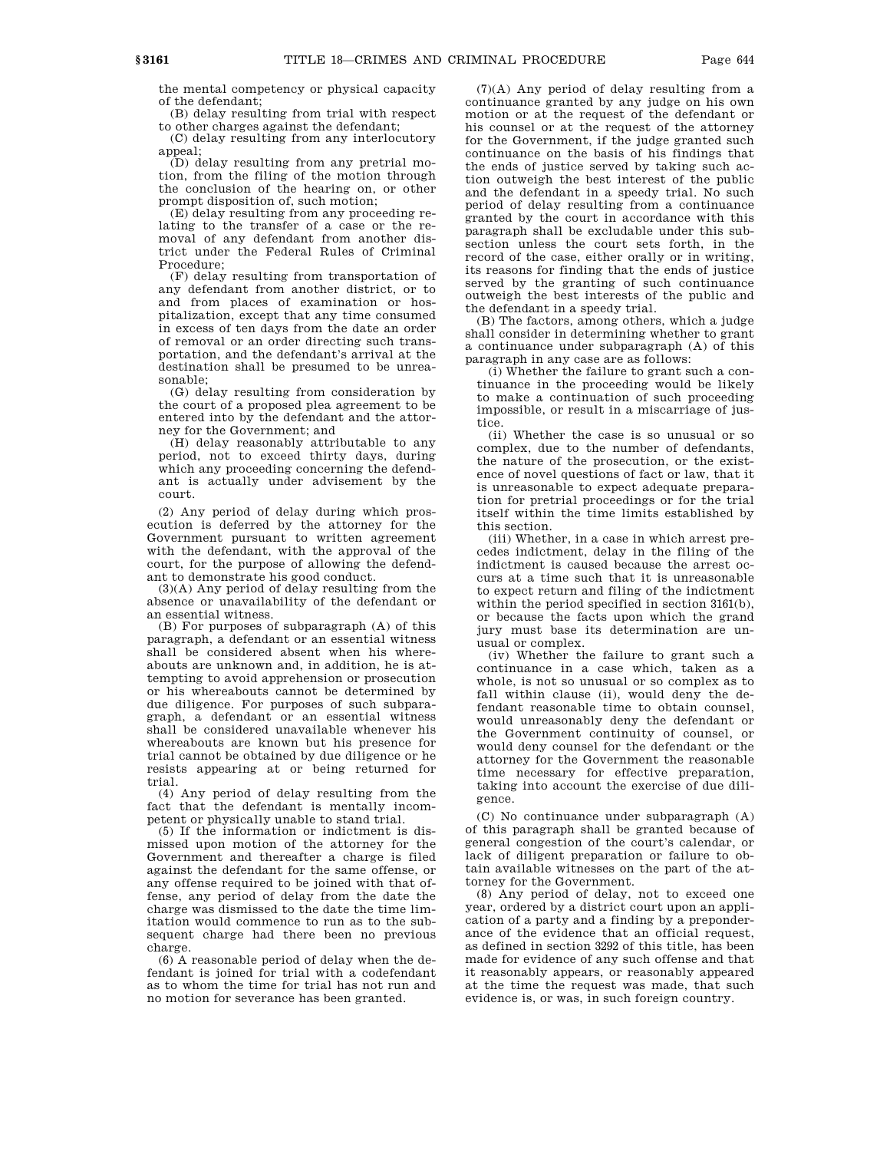the mental competency or physical capacity of the defendant;

(B) delay resulting from trial with respect to other charges against the defendant;

(C) delay resulting from any interlocutory appeal;

(D) delay resulting from any pretrial motion, from the filing of the motion through the conclusion of the hearing on, or other prompt disposition of, such motion;

(E) delay resulting from any proceeding relating to the transfer of a case or the removal of any defendant from another district under the Federal Rules of Criminal Procedure;

(F) delay resulting from transportation of any defendant from another district, or to and from places of examination or hospitalization, except that any time consumed in excess of ten days from the date an order of removal or an order directing such transportation, and the defendant's arrival at the destination shall be presumed to be unreasonable;

(G) delay resulting from consideration by the court of a proposed plea agreement to be entered into by the defendant and the attorney for the Government; and

(H) delay reasonably attributable to any period, not to exceed thirty days, during which any proceeding concerning the defendant is actually under advisement by the court.

(2) Any period of delay during which prosecution is deferred by the attorney for the Government pursuant to written agreement with the defendant, with the approval of the court, for the purpose of allowing the defendant to demonstrate his good conduct.

(3)(A) Any period of delay resulting from the absence or unavailability of the defendant or an essential witness.

(B) For purposes of subparagraph (A) of this paragraph, a defendant or an essential witness shall be considered absent when his whereabouts are unknown and, in addition, he is attempting to avoid apprehension or prosecution or his whereabouts cannot be determined by due diligence. For purposes of such subparagraph, a defendant or an essential witness shall be considered unavailable whenever his whereabouts are known but his presence for trial cannot be obtained by due diligence or he resists appearing at or being returned for trial.

(4) Any period of delay resulting from the fact that the defendant is mentally incompetent or physically unable to stand trial.

(5) If the information or indictment is dismissed upon motion of the attorney for the Government and thereafter a charge is filed against the defendant for the same offense, or any offense required to be joined with that offense, any period of delay from the date the charge was dismissed to the date the time limitation would commence to run as to the subsequent charge had there been no previous charge.

(6) A reasonable period of delay when the defendant is joined for trial with a codefendant as to whom the time for trial has not run and no motion for severance has been granted.

(7)(A) Any period of delay resulting from a continuance granted by any judge on his own motion or at the request of the defendant or his counsel or at the request of the attorney for the Government, if the judge granted such continuance on the basis of his findings that the ends of justice served by taking such action outweigh the best interest of the public and the defendant in a speedy trial. No such period of delay resulting from a continuance granted by the court in accordance with this paragraph shall be excludable under this subsection unless the court sets forth, in the record of the case, either orally or in writing, its reasons for finding that the ends of justice served by the granting of such continuance outweigh the best interests of the public and the defendant in a speedy trial.

(B) The factors, among others, which a judge shall consider in determining whether to grant a continuance under subparagraph (A) of this paragraph in any case are as follows:

(i) Whether the failure to grant such a continuance in the proceeding would be likely to make a continuation of such proceeding impossible, or result in a miscarriage of justice.

(ii) Whether the case is so unusual or so complex, due to the number of defendants, the nature of the prosecution, or the existence of novel questions of fact or law, that it is unreasonable to expect adequate preparation for pretrial proceedings or for the trial itself within the time limits established by this section.

(iii) Whether, in a case in which arrest precedes indictment, delay in the filing of the indictment is caused because the arrest occurs at a time such that it is unreasonable to expect return and filing of the indictment within the period specified in section 3161(b), or because the facts upon which the grand jury must base its determination are unusual or complex.

(iv) Whether the failure to grant such a continuance in a case which, taken as a whole, is not so unusual or so complex as to fall within clause (ii), would deny the defendant reasonable time to obtain counsel, would unreasonably deny the defendant or the Government continuity of counsel, or would deny counsel for the defendant or the attorney for the Government the reasonable time necessary for effective preparation, taking into account the exercise of due diligence.

(C) No continuance under subparagraph (A) of this paragraph shall be granted because of general congestion of the court's calendar, or lack of diligent preparation or failure to obtain available witnesses on the part of the attorney for the Government.

(8) Any period of delay, not to exceed one year, ordered by a district court upon an application of a party and a finding by a preponderance of the evidence that an official request, as defined in section 3292 of this title, has been made for evidence of any such offense and that it reasonably appears, or reasonably appeared at the time the request was made, that such evidence is, or was, in such foreign country.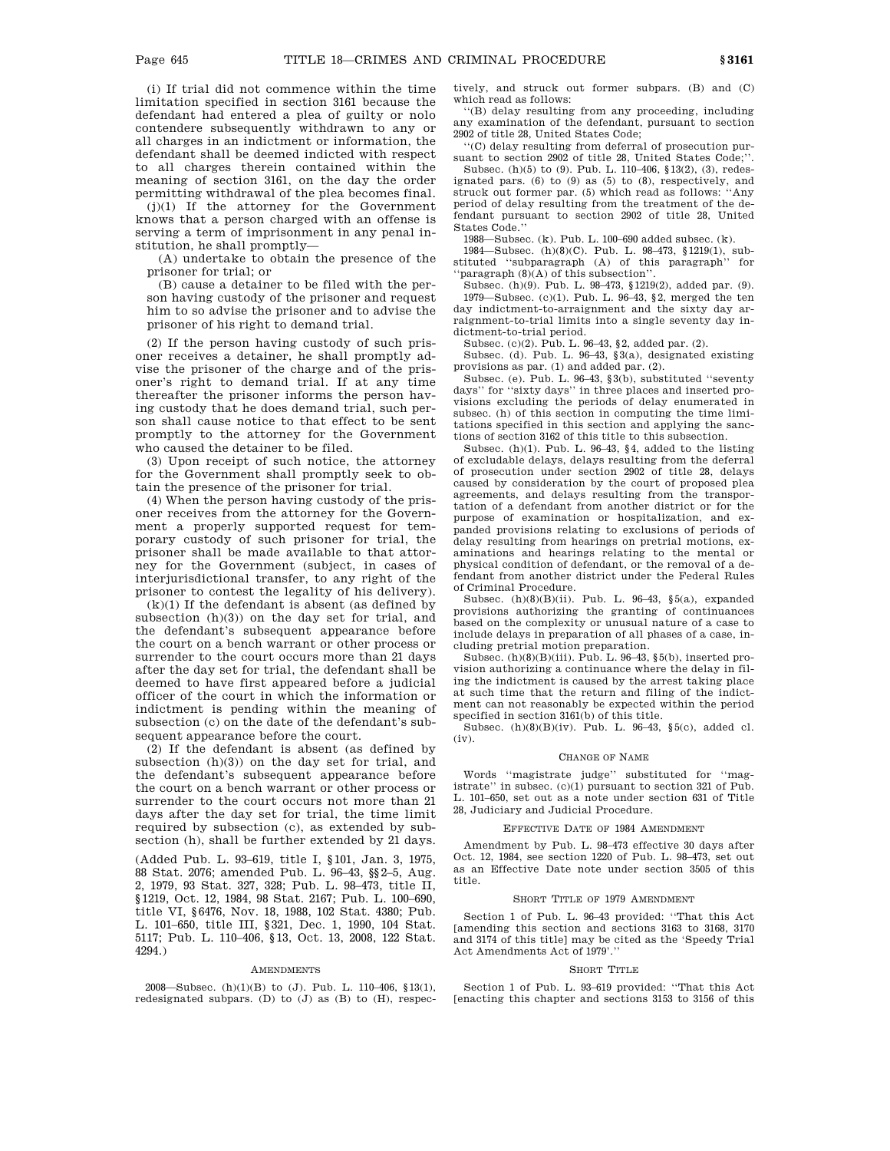(i) If trial did not commence within the time limitation specified in section 3161 because the defendant had entered a plea of guilty or nolo contendere subsequently withdrawn to any or all charges in an indictment or information, the defendant shall be deemed indicted with respect to all charges therein contained within the meaning of section 3161, on the day the order permitting withdrawal of the plea becomes final.

(j)(1) If the attorney for the Government knows that a person charged with an offense is serving a term of imprisonment in any penal institution, he shall promptly—

(A) undertake to obtain the presence of the prisoner for trial; or

(B) cause a detainer to be filed with the person having custody of the prisoner and request him to so advise the prisoner and to advise the prisoner of his right to demand trial.

(2) If the person having custody of such prisoner receives a detainer, he shall promptly advise the prisoner of the charge and of the prisoner's right to demand trial. If at any time thereafter the prisoner informs the person having custody that he does demand trial, such person shall cause notice to that effect to be sent promptly to the attorney for the Government who caused the detainer to be filed.

(3) Upon receipt of such notice, the attorney for the Government shall promptly seek to obtain the presence of the prisoner for trial.

(4) When the person having custody of the prisoner receives from the attorney for the Government a properly supported request for temporary custody of such prisoner for trial, the prisoner shall be made available to that attorney for the Government (subject, in cases of interjurisdictional transfer, to any right of the prisoner to contest the legality of his delivery).

 $(k)(1)$  If the defendant is absent (as defined by subsection (h)(3)) on the day set for trial, and the defendant's subsequent appearance before the court on a bench warrant or other process or surrender to the court occurs more than 21 days after the day set for trial, the defendant shall be deemed to have first appeared before a judicial officer of the court in which the information or indictment is pending within the meaning of subsection (c) on the date of the defendant's subsequent appearance before the court.

(2) If the defendant is absent (as defined by subsection (h)(3)) on the day set for trial, and the defendant's subsequent appearance before the court on a bench warrant or other process or surrender to the court occurs not more than 21 days after the day set for trial, the time limit required by subsection (c), as extended by subsection (h), shall be further extended by 21 days.

(Added Pub. L. 93–619, title I, §101, Jan. 3, 1975, 88 Stat. 2076; amended Pub. L. 96–43, §§2–5, Aug. 2, 1979, 93 Stat. 327, 328; Pub. L. 98–473, title II, §1219, Oct. 12, 1984, 98 Stat. 2167; Pub. L. 100–690, title VI, §6476, Nov. 18, 1988, 102 Stat. 4380; Pub. L. 101–650, title III, §321, Dec. 1, 1990, 104 Stat. 5117; Pub. L. 110–406, §13, Oct. 13, 2008, 122 Stat. 4294.)

#### **AMENDMENTS**

2008—Subsec. (h)(1)(B) to (J). Pub. L. 110–406, §13(1), redesignated subpars. (D) to (J) as (B) to (H), respectively, and struck out former subpars. (B) and (C) which read as follows:

''(B) delay resulting from any proceeding, including any examination of the defendant, pursuant to section 2902 of title 28, United States Code;

''(C) delay resulting from deferral of prosecution pursuant to section 2902 of title 28, United States Code;''.

Subsec. (h)(5) to (9). Pub. L. 110–406, §13(2), (3), redesignated pars.  $(6)$  to  $(9)$  as  $(5)$  to  $(8)$ , respectively, and struck out former par. (5) which read as follows: ''Any period of delay resulting from the treatment of the defendant pursuant to section 2902 of title 28, United States Code.''

1988—Subsec. (k). Pub. L. 100–690 added subsec. (k).

1984—Subsec. (h)(8)(C). Pub. L. 98–473, §1219(1), substituted ''subparagraph (A) of this paragraph'' for 'paragraph (8)(A) of this subsection''

Subsec. (h)(9). Pub. L. 98–473, §1219(2), added par. (9). 1979—Subsec. (c)(1). Pub. L. 96–43, §2, merged the ten day indictment-to-arraignment and the sixty day arraignment-to-trial limits into a single seventy day indictment-to-trial period.

Subsec. (c)(2). Pub. L. 96–43, §2, added par. (2).

Subsec. (d). Pub. L. 96–43, §3(a), designated existing provisions as par. (1) and added par. (2).

Subsec. (e). Pub. L. 96–43, §3(b), substituted ''seventy days'' for ''sixty days'' in three places and inserted provisions excluding the periods of delay enumerated in subsec. (h) of this section in computing the time limitations specified in this section and applying the sanctions of section 3162 of this title to this subsection.

Subsec. (h)(1). Pub. L. 96–43, §4, added to the listing of excludable delays, delays resulting from the deferral of prosecution under section 2902 of title 28, delays caused by consideration by the court of proposed plea agreements, and delays resulting from the transportation of a defendant from another district or for the purpose of examination or hospitalization, and expanded provisions relating to exclusions of periods of delay resulting from hearings on pretrial motions, examinations and hearings relating to the mental or physical condition of defendant, or the removal of a defendant from another district under the Federal Rules of Criminal Procedure.

Subsec.  $(h)(8)(B)(ii)$ . Pub. L. 96-43, §5(a), expanded provisions authorizing the granting of continuances based on the complexity or unusual nature of a case to include delays in preparation of all phases of a case, including pretrial motion preparation.

Subsec.  $(h)(8)(Bi)(iii)$ . Pub. L. 96–43, §5(b), inserted provision authorizing a continuance where the delay in filing the indictment is caused by the arrest taking place at such time that the return and filing of the indictment can not reasonably be expected within the period specified in section 3161(b) of this title.

Subsec. (h)(8)(B)(iv). Pub. L. 96–43, §5(c), added cl. (iv).

#### CHANGE OF NAME

Words ''magistrate judge'' substituted for ''magistrate'' in subsec. (c)(1) pursuant to section 321 of Pub. L. 101–650, set out as a note under section 631 of Title 28, Judiciary and Judicial Procedure.

#### EFFECTIVE DATE OF 1984 AMENDMENT

Amendment by Pub. L. 98–473 effective 30 days after Oct. 12, 1984, see section 1220 of Pub. L. 98–473, set out as an Effective Date note under section 3505 of this title.

#### SHORT TITLE OF 1979 AMENDMENT

Section 1 of Pub. L. 96–43 provided: ''That this Act [amending this section and sections 3163 to 3168, 3170 and 3174 of this title] may be cited as the 'Speedy Trial Act Amendments Act of 1979'.''

#### SHORT TITLE

Section 1 of Pub. L. 93–619 provided: ''That this Act [enacting this chapter and sections 3153 to 3156 of this